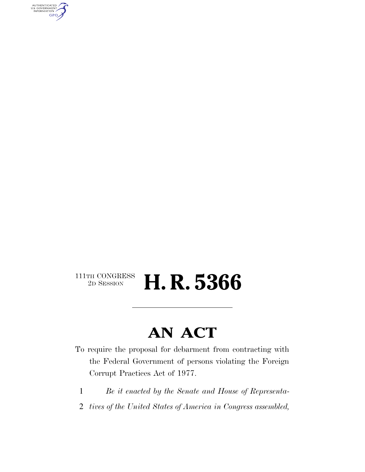AUTHENTICATED<br>U.S. GOVERNMENT<br>INFORMATION GPO

#### $\begin{array}{c} \textbf{111TH CONGRESS} \\ \textbf{2D SESION} \end{array}$ 2D SESSION **H. R. 5366**

### **AN ACT**

To require the proposal for debarment from contracting with the Federal Government of persons violating the Foreign Corrupt Practices Act of 1977.

- 1 *Be it enacted by the Senate and House of Representa-*
- 2 *tives of the United States of America in Congress assembled,*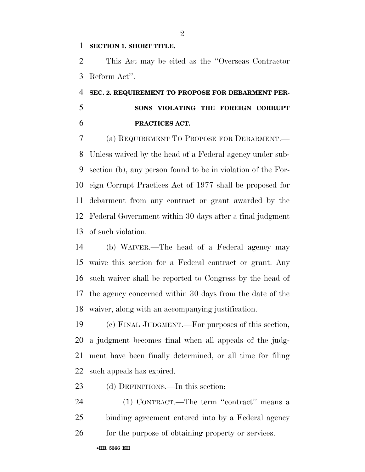#### **SECTION 1. SHORT TITLE.**

 This Act may be cited as the ''Overseas Contractor Reform Act''.

 **SEC. 2. REQUIREMENT TO PROPOSE FOR DEBARMENT PER- SONS VIOLATING THE FOREIGN CORRUPT PRACTICES ACT.** 

 (a) REQUIREMENT TO PROPOSE FOR DEBARMENT.— Unless waived by the head of a Federal agency under sub- section (b), any person found to be in violation of the For- eign Corrupt Practices Act of 1977 shall be proposed for debarment from any contract or grant awarded by the Federal Government within 30 days after a final judgment of such violation.

 (b) WAIVER.—The head of a Federal agency may waive this section for a Federal contract or grant. Any such waiver shall be reported to Congress by the head of the agency concerned within 30 days from the date of the waiver, along with an accompanying justification.

 (c) FINAL JUDGMENT.—For purposes of this section, a judgment becomes final when all appeals of the judg- ment have been finally determined, or all time for filing such appeals has expired.

23 (d) DEFINITIONS.—In this section:

 (1) CONTRACT.—The term ''contract'' means a binding agreement entered into by a Federal agency 26 for the purpose of obtaining property or services.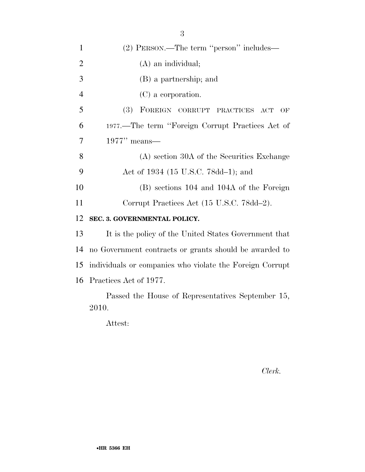| $\mathbf{1}$   | (2) PERSON.—The term "person" includes—                  |
|----------------|----------------------------------------------------------|
| $\overline{2}$ | $(A)$ an individual;                                     |
| 3              | (B) a partnership; and                                   |
| $\overline{4}$ | $(C)$ a corporation.                                     |
| 5              | (3)<br>FOREIGN CORRUPT PRACTICES ACT<br>OF               |
| 6              | 1977.—The term "Foreign Corrupt Practices Act of         |
| 7              | $1977"$ means—                                           |
| 8              | (A) section 30A of the Securities Exchange               |
| 9              | Act of 1934 (15 U.S.C. 78dd-1); and                      |
| 10             | (B) sections 104 and 104A of the Foreign                 |
| 11             | Corrupt Practices Act (15 U.S.C. 78dd-2).                |
| 12             | SEC. 3. GOVERNMENTAL POLICY.                             |
| 13             | It is the policy of the United States Government that    |
| 14             | no Government contracts or grants should be awarded to   |
| 15             | individuals or companies who violate the Foreign Corrupt |
| 16             | Practices Act of 1977.                                   |
|                | Passed the House of Representatives September 15,        |
|                | 2010.                                                    |

Attest:

*Clerk.*